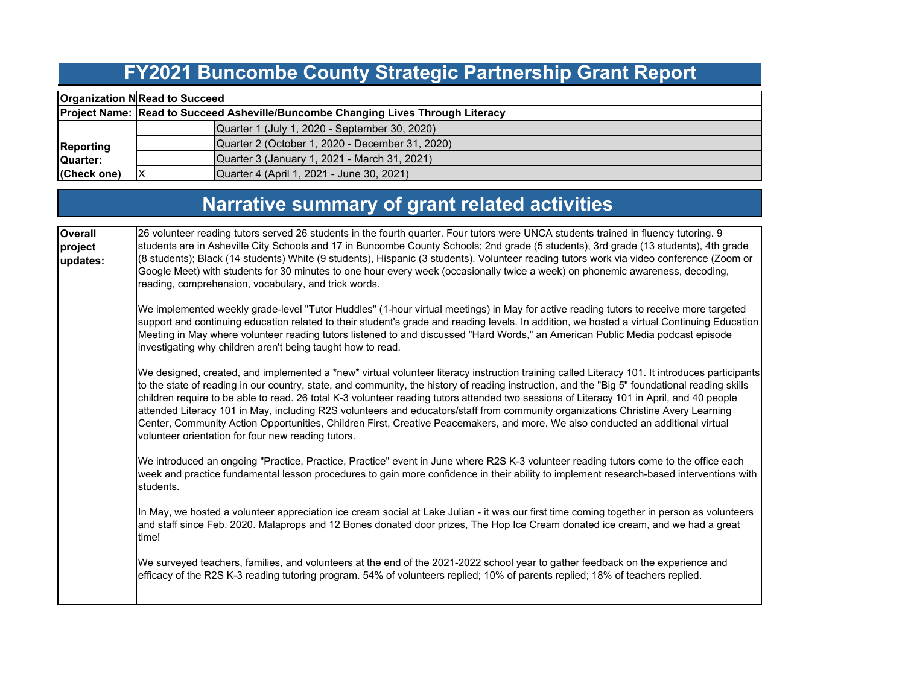#### **FY2021 Buncombe County Strategic Partnership Grant Report**

|                  | <b>Organization N Read to Succeed</b>           |                                                                                  |  |  |  |  |  |  |  |  |
|------------------|-------------------------------------------------|----------------------------------------------------------------------------------|--|--|--|--|--|--|--|--|
|                  |                                                 | Project Name: Read to Succeed Asheville/Buncombe Changing Lives Through Literacy |  |  |  |  |  |  |  |  |
|                  |                                                 | Quarter 1 (July 1, 2020 - September 30, 2020)                                    |  |  |  |  |  |  |  |  |
| <b>Reporting</b> | Quarter 2 (October 1, 2020 - December 31, 2020) |                                                                                  |  |  |  |  |  |  |  |  |
| Quarter:         |                                                 | Quarter 3 (January 1, 2021 - March 31, 2021)                                     |  |  |  |  |  |  |  |  |
| (Check one)      |                                                 | Quarter 4 (April 1, 2021 - June 30, 2021)                                        |  |  |  |  |  |  |  |  |

# **Narrative summary of grant related activities**

| <b>Overall</b><br>project<br>updates: | 26 volunteer reading tutors served 26 students in the fourth quarter. Four tutors were UNCA students trained in fluency tutoring. 9<br>students are in Asheville City Schools and 17 in Buncombe County Schools; 2nd grade (5 students), 3rd grade (13 students), 4th grade<br>(8 students); Black (14 students) White (9 students), Hispanic (3 students). Volunteer reading tutors work via video conference (Zoom or<br>Google Meet) with students for 30 minutes to one hour every week (occasionally twice a week) on phonemic awareness, decoding,<br>reading, comprehension, vocabulary, and trick words.                                                                                                                                                        |  |  |  |  |  |  |
|---------------------------------------|-------------------------------------------------------------------------------------------------------------------------------------------------------------------------------------------------------------------------------------------------------------------------------------------------------------------------------------------------------------------------------------------------------------------------------------------------------------------------------------------------------------------------------------------------------------------------------------------------------------------------------------------------------------------------------------------------------------------------------------------------------------------------|--|--|--|--|--|--|
|                                       | We implemented weekly grade-level "Tutor Huddles" (1-hour virtual meetings) in May for active reading tutors to receive more targeted<br>support and continuing education related to their student's grade and reading levels. In addition, we hosted a virtual Continuing Education<br>Meeting in May where volunteer reading tutors listened to and discussed "Hard Words," an American Public Media podcast episode<br>investigating why children aren't being taught how to read.                                                                                                                                                                                                                                                                                   |  |  |  |  |  |  |
|                                       | We designed, created, and implemented a *new* virtual volunteer literacy instruction training called Literacy 101. It introduces participants<br>to the state of reading in our country, state, and community, the history of reading instruction, and the "Big 5" foundational reading skills<br>children require to be able to read. 26 total K-3 volunteer reading tutors attended two sessions of Literacy 101 in April, and 40 people<br>attended Literacy 101 in May, including R2S volunteers and educators/staff from community organizations Christine Avery Learning<br>Center, Community Action Opportunities, Children First, Creative Peacemakers, and more. We also conducted an additional virtual<br>volunteer orientation for four new reading tutors. |  |  |  |  |  |  |
|                                       | We introduced an ongoing "Practice, Practice, Practice" event in June where R2S K-3 volunteer reading tutors come to the office each<br>week and practice fundamental lesson procedures to gain more confidence in their ability to implement research-based interventions with<br>students.                                                                                                                                                                                                                                                                                                                                                                                                                                                                            |  |  |  |  |  |  |
|                                       | In May, we hosted a volunteer appreciation ice cream social at Lake Julian - it was our first time coming together in person as volunteers<br>and staff since Feb. 2020. Malaprops and 12 Bones donated door prizes, The Hop Ice Cream donated ice cream, and we had a great<br>time!                                                                                                                                                                                                                                                                                                                                                                                                                                                                                   |  |  |  |  |  |  |
|                                       | We surveyed teachers, families, and volunteers at the end of the 2021-2022 school year to gather feedback on the experience and<br>efficacy of the R2S K-3 reading tutoring program. 54% of volunteers replied; 10% of parents replied; 18% of teachers replied.                                                                                                                                                                                                                                                                                                                                                                                                                                                                                                        |  |  |  |  |  |  |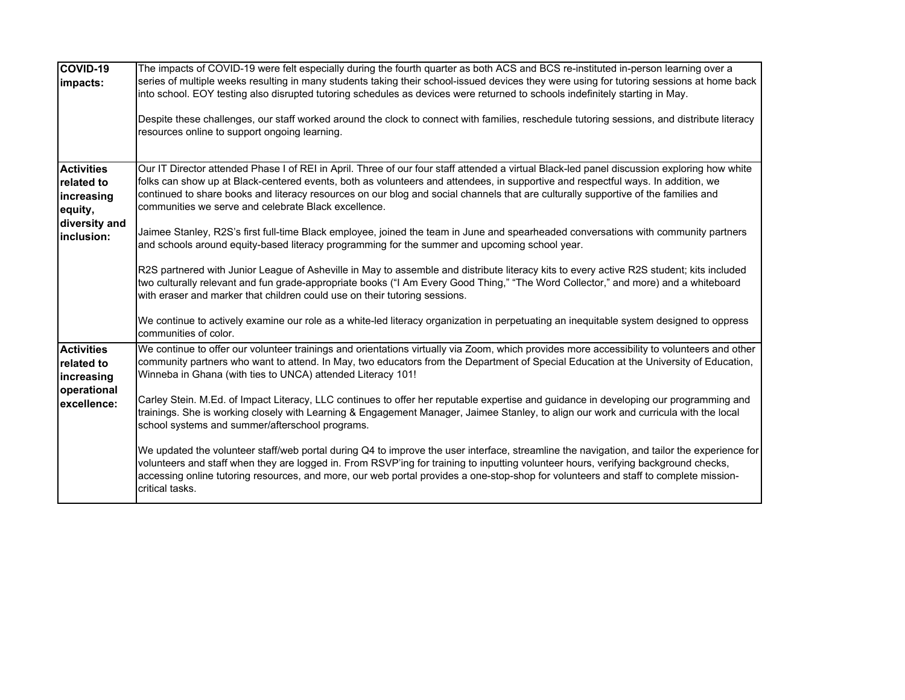| COVID-19<br>impacts:                                         | The impacts of COVID-19 were felt especially during the fourth quarter as both ACS and BCS re-instituted in-person learning over a<br>series of multiple weeks resulting in many students taking their school-issued devices they were using for tutoring sessions at home back<br>into school. EOY testing also disrupted tutoring schedules as devices were returned to schools indefinitely starting in May.<br>Despite these challenges, our staff worked around the clock to connect with families, reschedule tutoring sessions, and distribute literacy<br>resources online to support ongoing learning. |
|--------------------------------------------------------------|-----------------------------------------------------------------------------------------------------------------------------------------------------------------------------------------------------------------------------------------------------------------------------------------------------------------------------------------------------------------------------------------------------------------------------------------------------------------------------------------------------------------------------------------------------------------------------------------------------------------|
| <b>Activities</b><br>related to<br>increasing<br>equity,     | Our IT Director attended Phase I of REI in April. Three of our four staff attended a virtual Black-led panel discussion exploring how white<br>folks can show up at Black-centered events, both as volunteers and attendees, in supportive and respectful ways. In addition, we<br>continued to share books and literacy resources on our blog and social channels that are culturally supportive of the families and<br>communities we serve and celebrate Black excellence.                                                                                                                                   |
| diversity and<br>inclusion:                                  | Jaimee Stanley, R2S's first full-time Black employee, joined the team in June and spearheaded conversations with community partners<br>and schools around equity-based literacy programming for the summer and upcoming school year.<br>R2S partnered with Junior League of Asheville in May to assemble and distribute literacy kits to every active R2S student; kits included<br>two culturally relevant and fun grade-appropriate books ("I Am Every Good Thing," "The Word Collector," and more) and a whiteboard<br>with eraser and marker that children could use on their tutoring sessions.            |
|                                                              | We continue to actively examine our role as a white-led literacy organization in perpetuating an inequitable system designed to oppress<br>communities of color.                                                                                                                                                                                                                                                                                                                                                                                                                                                |
| <b>Activities</b><br>related to<br>increasing<br>operational | We continue to offer our volunteer trainings and orientations virtually via Zoom, which provides more accessibility to volunteers and other<br>community partners who want to attend. In May, two educators from the Department of Special Education at the University of Education,<br>Winneba in Ghana (with ties to UNCA) attended Literacy 101!                                                                                                                                                                                                                                                             |
| excellence:                                                  | Carley Stein. M.Ed. of Impact Literacy, LLC continues to offer her reputable expertise and guidance in developing our programming and<br>trainings. She is working closely with Learning & Engagement Manager, Jaimee Stanley, to align our work and curricula with the local<br>school systems and summer/afterschool programs.                                                                                                                                                                                                                                                                                |
|                                                              | We updated the volunteer staff/web portal during Q4 to improve the user interface, streamline the navigation, and tailor the experience for<br>volunteers and staff when they are logged in. From RSVP'ing for training to inputting volunteer hours, verifying background checks,<br>accessing online tutoring resources, and more, our web portal provides a one-stop-shop for volunteers and staff to complete mission-<br>critical tasks.                                                                                                                                                                   |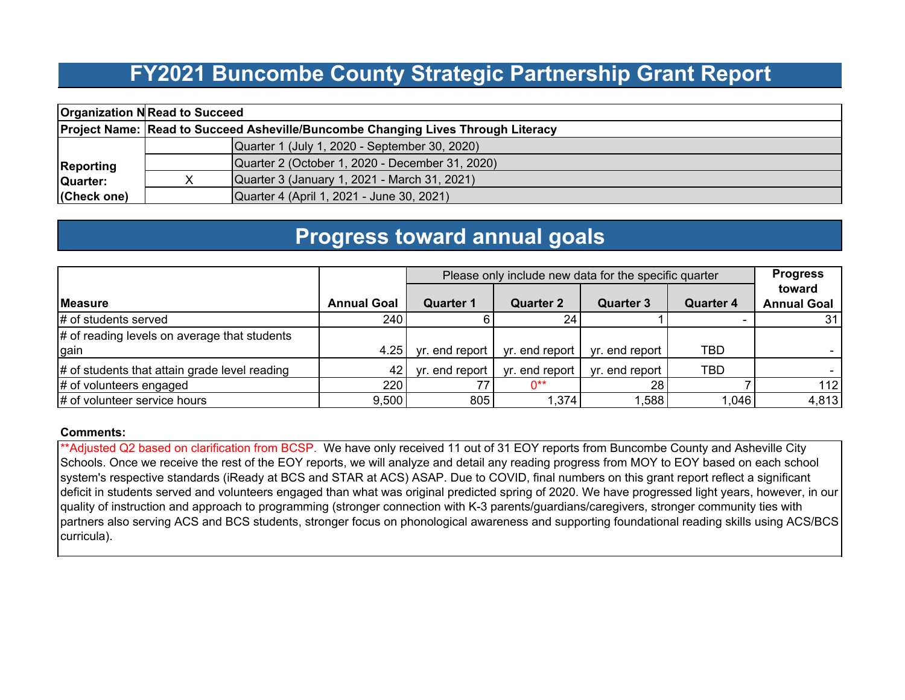#### **FY2021 Buncombe County Strategic Partnership Grant Report**

|                  | <b>Organization N Read to Succeed</b>                                            |                                                 |  |  |  |  |  |  |  |  |
|------------------|----------------------------------------------------------------------------------|-------------------------------------------------|--|--|--|--|--|--|--|--|
|                  | Project Name: Read to Succeed Asheville/Buncombe Changing Lives Through Literacy |                                                 |  |  |  |  |  |  |  |  |
|                  |                                                                                  | Quarter 1 (July 1, 2020 - September 30, 2020)   |  |  |  |  |  |  |  |  |
| <b>Reporting</b> |                                                                                  | Quarter 2 (October 1, 2020 - December 31, 2020) |  |  |  |  |  |  |  |  |
| Quarter:         |                                                                                  | Quarter 3 (January 1, 2021 - March 31, 2021)    |  |  |  |  |  |  |  |  |
| (Check one)      |                                                                                  | Quarter 4 (April 1, 2021 - June 30, 2021)       |  |  |  |  |  |  |  |  |

### **Progress toward annual goals**

|                                                      |                    | Please only include new data for the specific quarter | <b>Progress</b>  |                  |                  |                              |
|------------------------------------------------------|--------------------|-------------------------------------------------------|------------------|------------------|------------------|------------------------------|
| Measure                                              | <b>Annual Goal</b> | <b>Quarter 1</b>                                      | <b>Quarter 2</b> | <b>Quarter 3</b> | <b>Quarter 4</b> | toward<br><b>Annual Goal</b> |
| # of students served                                 | 240                |                                                       | 24               |                  |                  | 31                           |
| # of reading levels on average that students<br>gain | 4.25               | yr. end report                                        | yr. end report   | vr. end report   | TBD              |                              |
| # of students that attain grade level reading        | 42                 | yr. end report                                        | yr. end report   | yr. end report   | TBD              |                              |
| # of volunteers engaged                              | 2201               | 77                                                    | ∩**              | 28               |                  | 112                          |
| # of volunteer service hours                         | 9,500              | 805                                                   | 374, ا           | ,588             | 0.046            | 4,813                        |

#### **Comments:**

\*\*Adjusted Q2 based on clarification from BCSP. We have only received 11 out of 31 EOY reports from Buncombe County and Asheville City Schools. Once we receive the rest of the EOY reports, we will analyze and detail any reading progress from MOY to EOY based on each school system's respective standards (iReady at BCS and STAR at ACS) ASAP. Due to COVID, final numbers on this grant report reflect a significant deficit in students served and volunteers engaged than what was original predicted spring of 2020. We have progressed light years, however, in our quality of instruction and approach to programming (stronger connection with K-3 parents/guardians/caregivers, stronger community ties with partners also serving ACS and BCS students, stronger focus on phonological awareness and supporting foundational reading skills using ACS/BCS curricula).